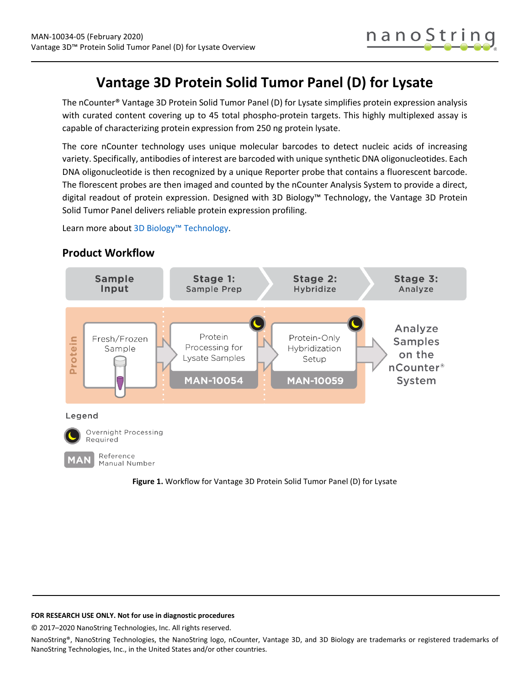# **Vantage 3D Protein Solid Tumor Panel (D) for Lysate**

The nCounter® Vantage 3D Protein Solid Tumor Panel (D) for Lysate simplifies protein expression analysis with curated content covering up to 45 total phospho-protein targets. This highly multiplexed assay is capable of characterizing protein expression from 250 ng protein lysate.

The core nCounter technology uses unique molecular barcodes to detect nucleic acids of increasing variety. Specifically, antibodies of interest are barcoded with unique synthetic DNA oligonucleotides. Each DNA oligonucleotide is then recognized by a unique Reporter probe that contains a fluorescent barcode. The florescent probes are then imaged and counted by the nCounter Analysis System to provide a direct, digital readout of protein expression. Designed with 3D Biology™ Technology, the Vantage 3D Protein Solid Tumor Panel delivers reliable protein expression profiling.

Learn more abou[t 3D Biology™ Technology.](https://www.nanostring.com/scientific-content/technology-overview/3d-biology-technology)



## **Product Workflow**

### <span id="page-0-0"></span>**FOR RESEARCH USE ONLY. Not for use in diagnostic procedures**

© 2017–2020 NanoString Technologies, Inc. All rights reserved.

NanoString®, NanoString Technologies, the NanoString logo, nCounter, Vantage 3D, and 3D Biology are trademarks or registered trademarks of NanoString Technologies, Inc., in the United States and/or other countries.